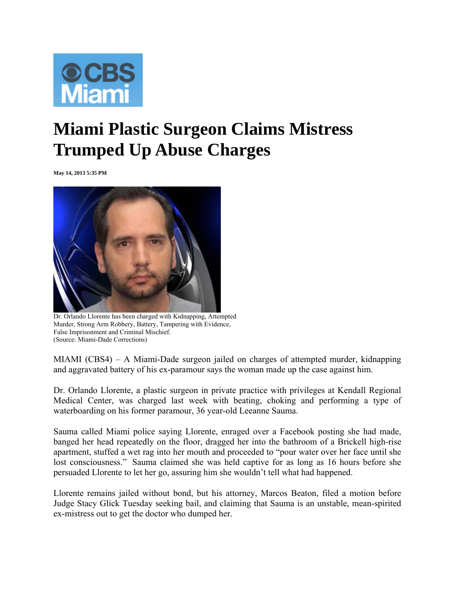

## **Miami Plastic Surgeon Claims Mistress Trumped Up Abuse Charges**

**May 14, 2013 5:35 PM** 



Dr. Orlando Llorente has been charged with Kidnapping, Attempted Murder, Strong Arm Robbery, Battery, Tampering with Evidence, False Imprisonment and Criminal Mischief. (Source: Miami-Dade Corrections)

MIAMI (CBS4) – A Miami-Dade surgeon jailed on charges of attempted murder, kidnapping and aggravated battery of his ex-paramour says the woman made up the case against him.

Dr. Orlando Llorente, a plastic surgeon in private practice with privileges at Kendall Regional Medical Center, was charged last week with beating, choking and performing a type of waterboarding on his former paramour, 36 year-old Leeanne Sauma.

Sauma called Miami police saying Llorente, enraged over a Facebook posting she had made, banged her head repeatedly on the floor, dragged her into the bathroom of a Brickell high-rise apartment, stuffed a wet rag into her mouth and proceeded to "pour water over her face until she lost consciousness." Sauma claimed she was held captive for as long as 16 hours before she persuaded Llorente to let her go, assuring him she wouldn't tell what had happened.

Llorente remains jailed without bond, but his attorney, Marcos Beaton, filed a motion before Judge Stacy Glick Tuesday seeking bail, and claiming that Sauma is an unstable, mean-spirited ex-mistress out to get the doctor who dumped her.